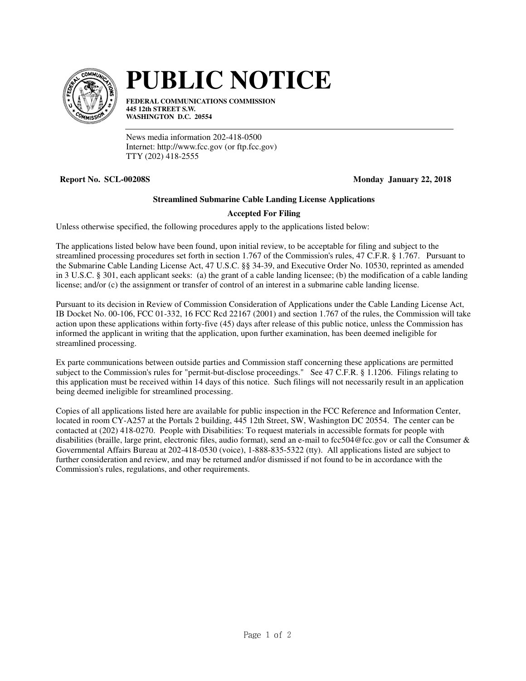

## **PUBLIC NOTICE**

**FEDERAL COMMUNICATIONS COMMISSION 445 12th STREET S.W. WASHINGTON D.C. 20554**

News media information 202-418-0500 Internet: http://www.fcc.gov (or ftp.fcc.gov) TTY (202) 418-2555

**Report No. SCL-00208S** Monday January 22, 2018

## **Streamlined Submarine Cable Landing License Applications**

## **Accepted For Filing**

Unless otherwise specified, the following procedures apply to the applications listed below:

The applications listed below have been found, upon initial review, to be acceptable for filing and subject to the streamlined processing procedures set forth in section 1.767 of the Commission's rules, 47 C.F.R. § 1.767. Pursuant to the Submarine Cable Landing License Act, 47 U.S.C. §§ 34-39, and Executive Order No. 10530, reprinted as amended in 3 U.S.C. § 301, each applicant seeks: (a) the grant of a cable landing licensee; (b) the modification of a cable landing license; and/or (c) the assignment or transfer of control of an interest in a submarine cable landing license.

Pursuant to its decision in Review of Commission Consideration of Applications under the Cable Landing License Act, IB Docket No. 00-106, FCC 01-332, 16 FCC Rcd 22167 (2001) and section 1.767 of the rules, the Commission will take action upon these applications within forty-five (45) days after release of this public notice, unless the Commission has informed the applicant in writing that the application, upon further examination, has been deemed ineligible for streamlined processing.

Ex parte communications between outside parties and Commission staff concerning these applications are permitted subject to the Commission's rules for "permit-but-disclose proceedings." See 47 C.F.R. § 1.1206. Filings relating to this application must be received within 14 days of this notice. Such filings will not necessarily result in an application being deemed ineligible for streamlined processing.

Copies of all applications listed here are available for public inspection in the FCC Reference and Information Center, located in room CY-A257 at the Portals 2 building, 445 12th Street, SW, Washington DC 20554. The center can be contacted at (202) 418-0270. People with Disabilities: To request materials in accessible formats for people with disabilities (braille, large print, electronic files, audio format), send an e-mail to fcc504@fcc.gov or call the Consumer & Governmental Affairs Bureau at 202-418-0530 (voice), 1-888-835-5322 (tty). All applications listed are subject to further consideration and review, and may be returned and/or dismissed if not found to be in accordance with the Commission's rules, regulations, and other requirements.